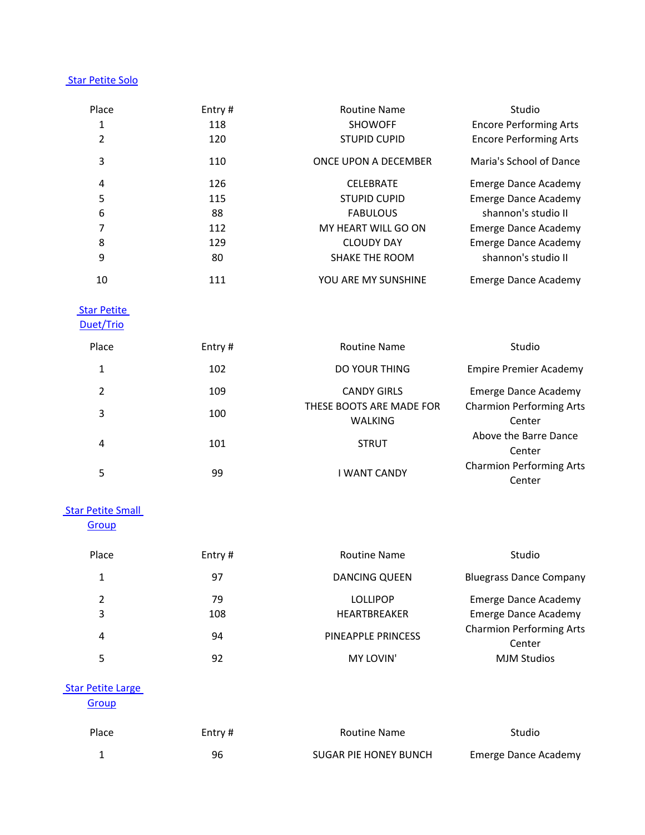## [Star Petite Solo](/dsv2/admin/score_list.php?events_reportsID=2)

| Place          | Entry $#$ | <b>Routine Name</b>   | Studio                        |
|----------------|-----------|-----------------------|-------------------------------|
| 1              | 118       | <b>SHOWOFF</b>        | <b>Encore Performing Arts</b> |
| $\overline{2}$ | 120       | <b>STUPID CUPID</b>   | <b>Encore Performing Arts</b> |
| 3              | 110       | ONCE UPON A DECEMBER  | Maria's School of Dance       |
| 4              | 126       | <b>CELEBRATE</b>      | <b>Emerge Dance Academy</b>   |
| 5              | 115       | <b>STUPID CUPID</b>   | <b>Emerge Dance Academy</b>   |
| 6              | 88        | <b>FABULOUS</b>       | shannon's studio II           |
| 7              | 112       | MY HEART WILL GO ON   | Emerge Dance Academy          |
| 8              | 129       | <b>CLOUDY DAY</b>     | Emerge Dance Academy          |
| 9              | 80        | <b>SHAKE THE ROOM</b> | shannon's studio II           |
| 10             | 111       | YOU ARE MY SUNSHINE   | Emerge Dance Academy          |

## **Star Petite**

[Duet/Trio](/dsv2/admin/score_list.php?events_reportsID=7)

| Place         | Entry# | <b>Routine Name</b>      | Studio                          |
|---------------|--------|--------------------------|---------------------------------|
| 1             | 102    | DO YOUR THING            | <b>Empire Premier Academy</b>   |
| $\mathcal{P}$ | 109    | <b>CANDY GIRLS</b>       | Emerge Dance Academy            |
| 3             | 100    | THESE BOOTS ARE MADE FOR | <b>Charmion Performing Arts</b> |
|               |        | <b>WALKING</b>           | Center                          |
| 4             | 101    | <b>STRUT</b>             | Above the Barre Dance           |
|               |        |                          | Center                          |
| 5             |        | I WANT CANDY             | <b>Charmion Performing Arts</b> |
|               | 99     |                          | Center                          |

#### **Star Petite Small**

**[Group](/dsv2/admin/score_list.php?events_reportsID=9)** 

| Place  | Entry#    | <b>Routine Name</b>             | Studio                                                     |
|--------|-----------|---------------------------------|------------------------------------------------------------|
| 1      | 97        | <b>DANCING QUEEN</b>            | <b>Bluegrass Dance Company</b>                             |
| 2<br>3 | 79<br>108 | <b>LOLLIPOP</b><br>HEARTBREAKER | <b>Emerge Dance Academy</b><br><b>Emerge Dance Academy</b> |
| 4      | 94        | PINEAPPLE PRINCESS              | <b>Charmion Performing Arts</b><br>Center                  |
|        | 92        | MY LOVIN'                       | <b>MJM Studios</b>                                         |

## [Star Petite Large](/dsv2/admin/score_list.php?events_reportsID=19)

**[Group](/dsv2/admin/score_list.php?events_reportsID=19)** 

| Place | Entry # | <b>Routine Name</b>   | Studio               |
|-------|---------|-----------------------|----------------------|
|       | 96      | SUGAR PIE HONEY BUNCH | Emerge Dance Academy |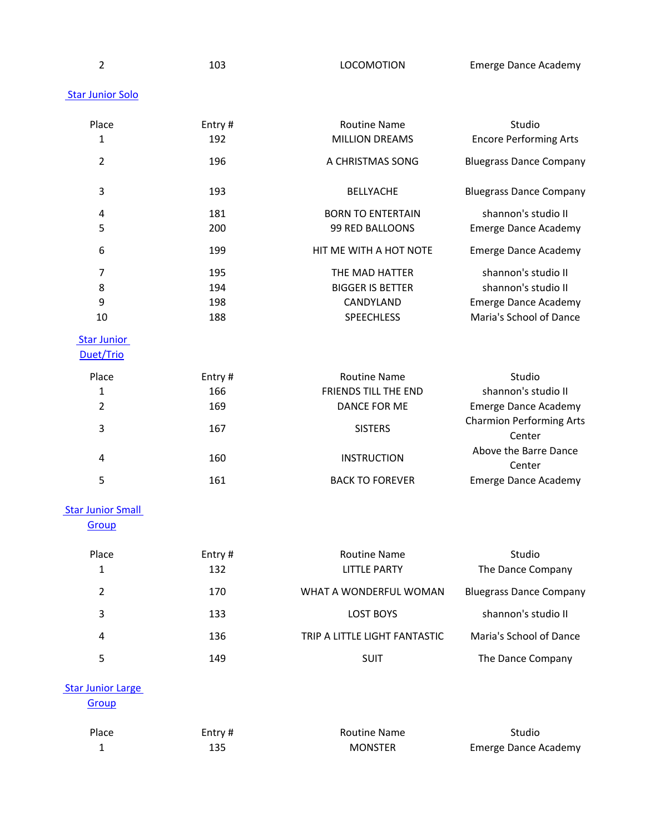| ۰. | ۰. |             |   |  |
|----|----|-------------|---|--|
|    |    |             |   |  |
|    |    | ł<br>I<br>٦ | I |  |
|    |    |             |   |  |
|    |    |             |   |  |

103 LOCOMOTION Emerge Dance Academy

## **Star Junior Solo**

| Place                           | Entry# | <b>Routine Name</b>           | Studio                                    |
|---------------------------------|--------|-------------------------------|-------------------------------------------|
| 1                               | 192    | <b>MILLION DREAMS</b>         | <b>Encore Performing Arts</b>             |
| $\overline{2}$                  | 196    | A CHRISTMAS SONG              | <b>Bluegrass Dance Company</b>            |
| 3                               | 193    | <b>BELLYACHE</b>              | <b>Bluegrass Dance Company</b>            |
| 4                               | 181    | <b>BORN TO ENTERTAIN</b>      | shannon's studio II                       |
| 5                               | 200    | 99 RED BALLOONS               | <b>Emerge Dance Academy</b>               |
| 6                               | 199    | HIT ME WITH A HOT NOTE        | <b>Emerge Dance Academy</b>               |
| 7                               | 195    | THE MAD HATTER                | shannon's studio II                       |
| 8                               | 194    | <b>BIGGER IS BETTER</b>       | shannon's studio II                       |
| 9                               | 198    | CANDYLAND                     | <b>Emerge Dance Academy</b>               |
| 10                              | 188    | <b>SPEECHLESS</b>             | Maria's School of Dance                   |
| <b>Star Junior</b><br>Duet/Trio |        |                               |                                           |
| Place                           | Entry# | <b>Routine Name</b>           | Studio                                    |
| 1                               | 166    | FRIENDS TILL THE END          | shannon's studio II                       |
| 2                               | 169    | DANCE FOR ME                  | <b>Emerge Dance Academy</b>               |
| 3                               | 167    | <b>SISTERS</b>                | <b>Charmion Performing Arts</b><br>Center |
| 4                               | 160    | <b>INSTRUCTION</b>            | Above the Barre Dance<br>Center           |
| 5                               | 161    | <b>BACK TO FOREVER</b>        | <b>Emerge Dance Academy</b>               |
| <b>Star Junior Small</b>        |        |                               |                                           |
| Group                           |        |                               |                                           |
| Place                           | Entry# | <b>Routine Name</b>           | Studio                                    |
| 1                               | 132    | <b>LITTLE PARTY</b>           | The Dance Company                         |
| $\overline{2}$                  | 170    | WHAT A WONDERFUL WOMAN        | <b>Bluegrass Dance Company</b>            |
| 3                               | 133    | <b>LOST BOYS</b>              | shannon's studio II                       |
| 4                               | 136    | TRIP A LITTLE LIGHT FANTASTIC | Maria's School of Dance                   |
| 5                               | 149    | SUIT                          | The Dance Company                         |

# **Star Junior Large**

**[Group](/dsv2/admin/score_list.php?events_reportsID=22)** 

| Place | Entry # | <b>Routine Name</b> | Studio                      |
|-------|---------|---------------------|-----------------------------|
|       |         | <b>MONSTER</b>      | <b>Emerge Dance Academy</b> |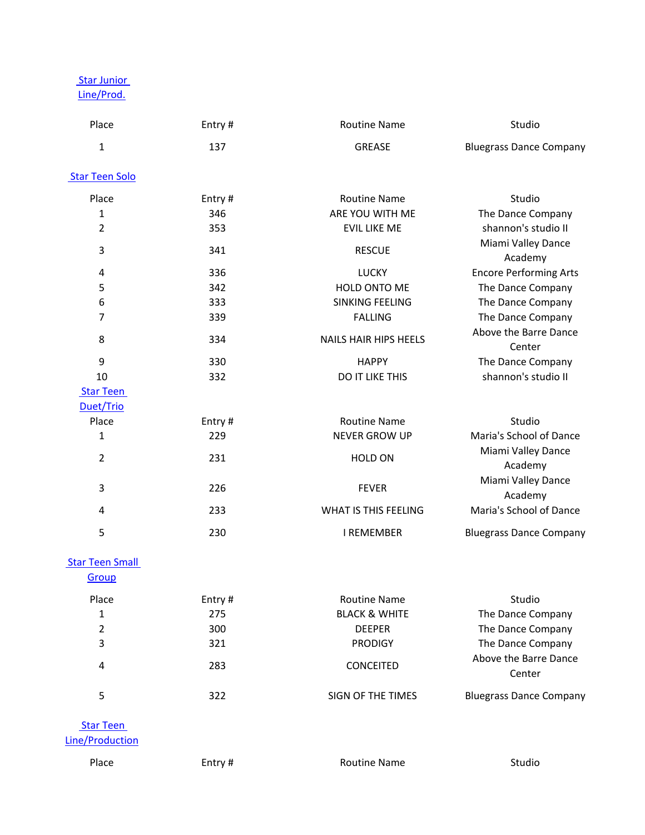[Star Junior](/dsv2/admin/score_list.php?events_reportsID=23)  [Line/Prod.](/dsv2/admin/score_list.php?events_reportsID=23)

| Entry# | <b>Routine Name</b>          | Studio                          |
|--------|------------------------------|---------------------------------|
| 137    | <b>GREASE</b>                | <b>Bluegrass Dance Company</b>  |
|        |                              |                                 |
| Entry# | <b>Routine Name</b>          | Studio                          |
| 346    | ARE YOU WITH ME              | The Dance Company               |
| 353    | <b>EVIL LIKE ME</b>          | shannon's studio II             |
| 341    | <b>RESCUE</b>                | Miami Valley Dance<br>Academy   |
| 336    | <b>LUCKY</b>                 | <b>Encore Performing Arts</b>   |
| 342    | HOLD ONTO ME                 | The Dance Company               |
| 333    | <b>SINKING FEELING</b>       | The Dance Company               |
| 339    | <b>FALLING</b>               | The Dance Company               |
| 334    | <b>NAILS HAIR HIPS HEELS</b> | Above the Barre Dance<br>Center |
| 330    | <b>HAPPY</b>                 | The Dance Company               |
| 332    | DO IT LIKE THIS              | shannon's studio II             |
|        |                              |                                 |
| Entry# | <b>Routine Name</b>          | Studio                          |
| 229    | <b>NEVER GROW UP</b>         | Maria's School of Dance         |
| 231    | HOLD ON                      | Miami Valley Dance<br>Academy   |
| 226    | <b>FEVER</b>                 | Miami Valley Dance<br>Academy   |
| 233    | WHAT IS THIS FEELING         | Maria's School of Dance         |
| 230    | <b>I REMEMBER</b>            | <b>Bluegrass Dance Company</b>  |
|        |                              |                                 |

#### **Star Teen Small [Group](/dsv2/admin/score_list.php?events_reportsID=24)**

| Place | Entry# | Routine Name             | Studio                          |
|-------|--------|--------------------------|---------------------------------|
|       | 275    | <b>BLACK &amp; WHITE</b> | The Dance Company               |
| 2     | 300    | <b>DEEPER</b>            | The Dance Company               |
| 3     | 321    | <b>PRODIGY</b>           | The Dance Company               |
| 4     | 283    | <b>CONCEITED</b>         | Above the Barre Dance<br>Center |
|       | 322    | SIGN OF THE TIMES        | <b>Bluegrass Dance Company</b>  |

 [Star Teen](/dsv2/admin/score_list.php?events_reportsID=26)  [Line/Production](/dsv2/admin/score_list.php?events_reportsID=26)

Place Entry # Entry # Routine Name Change Studio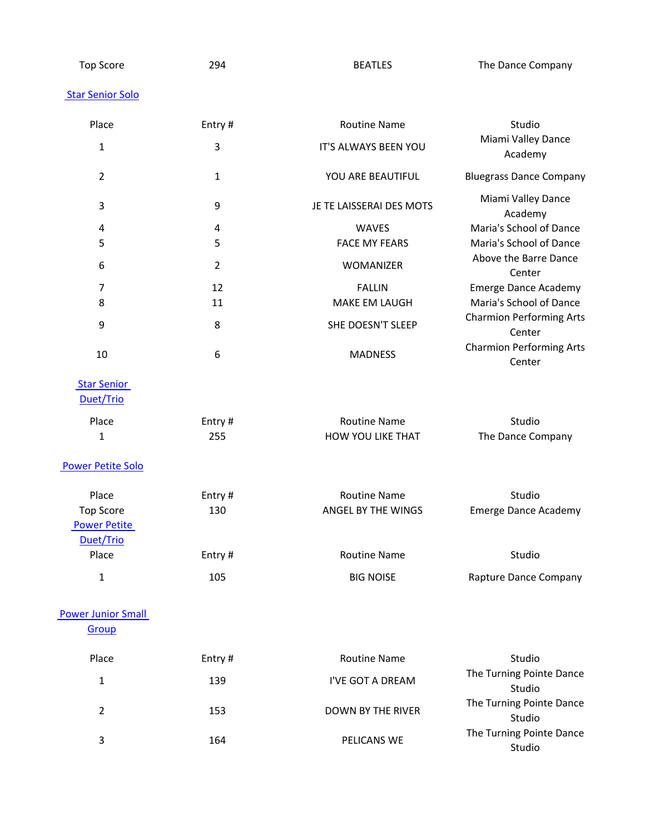Top Score 294 294 BEATLES The Dance Company

#### [Star Senior Solo](/dsv2/admin/score_list.php?events_reportsID=4)

| Place                                                         | Entry#           | <b>Routine Name</b>                       | Studio                                             |
|---------------------------------------------------------------|------------------|-------------------------------------------|----------------------------------------------------|
| $\mathbf{1}$                                                  | $\mathbf{3}$     | IT'S ALWAYS BEEN YOU                      | Miami Valley Dance<br>Academy                      |
| $\overline{2}$                                                | $\mathbf{1}$     | YOU ARE BEAUTIFUL                         | <b>Bluegrass Dance Company</b>                     |
| $\mathbf{3}$                                                  | $\boldsymbol{9}$ | JE TE LAISSERAI DES MOTS                  | Miami Valley Dance<br>Academy                      |
| 4<br>5                                                        | 4<br>5           | WAVES<br><b>FACE MY FEARS</b>             | Maria's School of Dance<br>Maria's School of Dance |
| 6                                                             | $\overline{2}$   | WOMANIZER                                 | Above the Barre Dance<br>Center                    |
| $\overline{7}$                                                | 12               | <b>FALLIN</b>                             | <b>Emerge Dance Academy</b>                        |
| 8                                                             | 11               | MAKE EM LAUGH                             | Maria's School of Dance                            |
| 9                                                             | 8                | SHE DOESN'T SLEEP                         | <b>Charmion Performing Arts</b><br>Center          |
| 10                                                            | 6                | <b>MADNESS</b>                            | <b>Charmion Performing Arts</b><br>Center          |
| <b>Star Senior</b><br>Duet/Trio                               |                  |                                           |                                                    |
| Place                                                         | Entry#           | <b>Routine Name</b>                       | Studio                                             |
| 1                                                             | 255              | HOW YOU LIKE THAT                         | The Dance Company                                  |
| <b>Power Petite Solo</b>                                      |                  |                                           |                                                    |
| Place<br><b>Top Score</b><br><b>Power Petite</b><br>Duet/Trio | Entry#<br>130    | <b>Routine Name</b><br>ANGEL BY THE WINGS | Studio<br><b>Emerge Dance Academy</b>              |
| Place                                                         | Entry#           | <b>Routine Name</b>                       | Studio                                             |
| 1                                                             | 105              | <b>BIG NOISE</b>                          | Rapture Dance Company                              |
| <b>Power Junior Small</b><br>Group                            |                  |                                           |                                                    |
| Place                                                         | Entry#           | <b>Routine Name</b>                       | Studio                                             |
| $\mathbf{1}$                                                  | 139              | I'VE GOT A DREAM                          | The Turning Pointe Dance<br>Studio                 |
| $\overline{2}$                                                | 153              | <b>DOWN BY THE RIVER</b>                  | The Turning Pointe Dance<br>Studio                 |
| 3                                                             | 164              | PELICANS WE                               | The Turning Pointe Dance<br>Studio                 |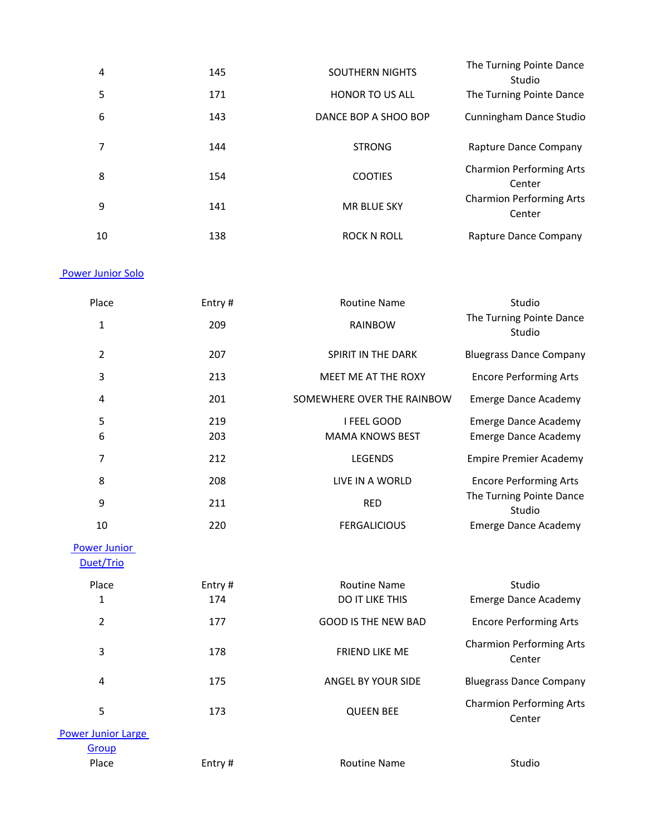| 4  | 145 | <b>SOUTHERN NIGHTS</b> | The Turning Pointe Dance<br>Studio        |
|----|-----|------------------------|-------------------------------------------|
| 5  | 171 | <b>HONOR TO US ALL</b> | The Turning Pointe Dance                  |
| 6  | 143 | DANCE BOP A SHOO BOP   | Cunningham Dance Studio                   |
|    | 144 | <b>STRONG</b>          | Rapture Dance Company                     |
| 8  | 154 | <b>COOTIES</b>         | <b>Charmion Performing Arts</b><br>Center |
| 9  | 141 | <b>MR BLUE SKY</b>     | <b>Charmion Performing Arts</b><br>Center |
| 10 | 138 | ROCK N ROLL            | Rapture Dance Company                     |

## [Power Junior Solo](/dsv2/admin/score_list.php?events_reportsID=35)

| Place | Entry# | <b>Routine Name</b>        | Studio                             |
|-------|--------|----------------------------|------------------------------------|
| 1     | 209    | <b>RAINBOW</b>             | The Turning Pointe Dance<br>Studio |
| 2     | 207    | SPIRIT IN THE DARK         | <b>Bluegrass Dance Company</b>     |
| 3     | 213    | MEET ME AT THE ROXY        | <b>Encore Performing Arts</b>      |
| 4     | 201    | SOMEWHERE OVER THE RAINBOW | <b>Emerge Dance Academy</b>        |
| 5     | 219    | I FEEL GOOD                | <b>Emerge Dance Academy</b>        |
| 6     | 203    | <b>MAMA KNOWS BEST</b>     | Emerge Dance Academy               |
| 7     | 212    | <b>LEGENDS</b>             | <b>Empire Premier Academy</b>      |
| 8     | 208    | LIVE IN A WORLD            | <b>Encore Performing Arts</b>      |
| 9     | 211    | <b>RED</b>                 | The Turning Pointe Dance<br>Studio |
| 10    | 220    | <b>FERGALICIOUS</b>        | <b>Emerge Dance Academy</b>        |

# [Power Junior](/dsv2/admin/score_list.php?events_reportsID=42)

[Duet/Trio](/dsv2/admin/score_list.php?events_reportsID=42)

| Place                     | Entry# | <b>Routine Name</b>        | Studio                                    |
|---------------------------|--------|----------------------------|-------------------------------------------|
| 1                         | 174    | <b>DO IT LIKE THIS</b>     | <b>Emerge Dance Academy</b>               |
| $\overline{2}$            | 177    | <b>GOOD IS THE NEW BAD</b> | <b>Encore Performing Arts</b>             |
| 3                         | 178    | <b>FRIEND LIKE ME</b>      | <b>Charmion Performing Arts</b><br>Center |
| 4                         | 175    | ANGEL BY YOUR SIDE         | <b>Bluegrass Dance Company</b>            |
| 5                         | 173    | <b>QUEEN BEE</b>           | <b>Charmion Performing Arts</b><br>Center |
| <b>Power Junior Large</b> |        |                            |                                           |
| Group                     |        |                            |                                           |
| Place                     | Entry# | <b>Routine Name</b>        | Studio                                    |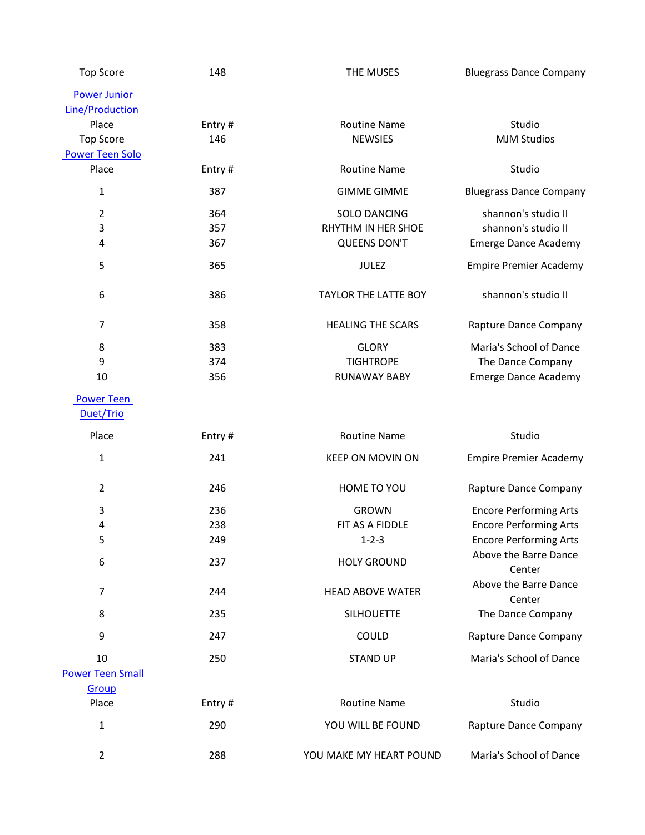| <b>Top Score</b>        | 148    | THE MUSES                   | <b>Bluegrass Dance Company</b>  |
|-------------------------|--------|-----------------------------|---------------------------------|
| <b>Power Junior</b>     |        |                             |                                 |
| Line/Production         |        |                             |                                 |
| Place                   | Entry# | <b>Routine Name</b>         | Studio                          |
| <b>Top Score</b>        | 146    | <b>NEWSIES</b>              | <b>MJM Studios</b>              |
| <b>Power Teen Solo</b>  |        |                             |                                 |
| Place                   | Entry# | <b>Routine Name</b>         | Studio                          |
| $\mathbf{1}$            | 387    | <b>GIMME GIMME</b>          | <b>Bluegrass Dance Company</b>  |
| $\overline{2}$          | 364    | <b>SOLO DANCING</b>         | shannon's studio II             |
| $\mathbf{3}$            | 357    | RHYTHM IN HER SHOE          | shannon's studio II             |
| 4                       | 367    | <b>QUEENS DON'T</b>         | <b>Emerge Dance Academy</b>     |
| 5                       | 365    | <b>JULEZ</b>                | <b>Empire Premier Academy</b>   |
| 6                       | 386    | <b>TAYLOR THE LATTE BOY</b> | shannon's studio II             |
| $\overline{7}$          | 358    | <b>HEALING THE SCARS</b>    | Rapture Dance Company           |
| 8                       | 383    | <b>GLORY</b>                | Maria's School of Dance         |
| 9                       | 374    | <b>TIGHTROPE</b>            | The Dance Company               |
| 10                      | 356    | <b>RUNAWAY BABY</b>         | <b>Emerge Dance Academy</b>     |
| <b>Power Teen</b>       |        |                             |                                 |
| Duet/Trio               |        |                             |                                 |
| Place                   | Entry# | <b>Routine Name</b>         | Studio                          |
| $\mathbf{1}$            | 241    | <b>KEEP ON MOVIN ON</b>     | <b>Empire Premier Academy</b>   |
| $\overline{2}$          | 246    | HOME TO YOU                 | Rapture Dance Company           |
| $\mathsf 3$             | 236    | <b>GROWN</b>                | <b>Encore Performing Arts</b>   |
| 4                       | 238    | FIT AS A FIDDLE             | <b>Encore Performing Arts</b>   |
| 5                       | 249    | $1 - 2 - 3$                 | <b>Encore Performing Arts</b>   |
| 6                       | 237    | <b>HOLY GROUND</b>          | Above the Barre Dance<br>Center |
| $\overline{7}$          | 244    | <b>HEAD ABOVE WATER</b>     | Above the Barre Dance<br>Center |
| 8                       | 235    | <b>SILHOUETTE</b>           | The Dance Company               |
| 9                       | 247    | COULD                       | Rapture Dance Company           |
| 10                      | 250    | <b>STAND UP</b>             | Maria's School of Dance         |
| <b>Power Teen Small</b> |        |                             |                                 |
| Group                   |        |                             |                                 |
| Place                   | Entry# | <b>Routine Name</b>         | Studio                          |
| $\mathbf{1}$            | 290    | YOU WILL BE FOUND           | Rapture Dance Company           |
| $\overline{2}$          | 288    | YOU MAKE MY HEART POUND     | Maria's School of Dance         |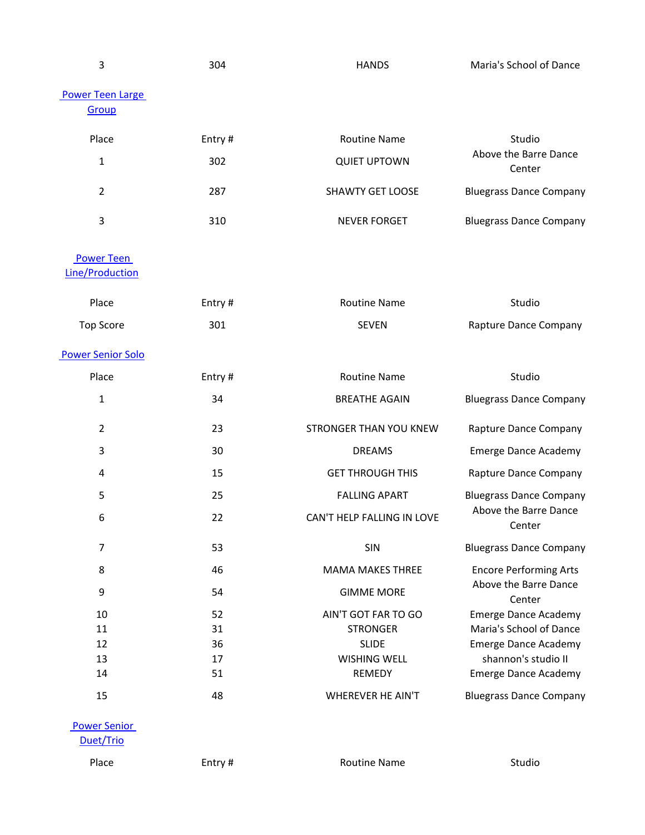| 3                                           | 304    | <b>HANDS</b>               | Maria's School of Dance         |
|---------------------------------------------|--------|----------------------------|---------------------------------|
| <b>Power Teen Large</b><br>Group            |        |                            |                                 |
| Place                                       | Entry# | <b>Routine Name</b>        | Studio                          |
| $\mathbf{1}$                                | 302    | <b>QUIET UPTOWN</b>        | Above the Barre Dance<br>Center |
| $\overline{2}$                              | 287    | <b>SHAWTY GET LOOSE</b>    | <b>Bluegrass Dance Company</b>  |
| 3                                           | 310    | <b>NEVER FORGET</b>        | <b>Bluegrass Dance Company</b>  |
| <b>Power Teen</b><br><b>Line/Production</b> |        |                            |                                 |
| Place                                       | Entry# | <b>Routine Name</b>        | Studio                          |
| <b>Top Score</b>                            | 301    | <b>SEVEN</b>               | Rapture Dance Company           |
| <b>Power Senior Solo</b>                    |        |                            |                                 |
| Place                                       | Entry# | <b>Routine Name</b>        | Studio                          |
| $\mathbf{1}$                                | 34     | <b>BREATHE AGAIN</b>       | <b>Bluegrass Dance Company</b>  |
| $\overline{2}$                              | 23     | STRONGER THAN YOU KNEW     | Rapture Dance Company           |
| $\mathbf{3}$                                | 30     | <b>DREAMS</b>              | <b>Emerge Dance Academy</b>     |
| $\overline{4}$                              | 15     | <b>GET THROUGH THIS</b>    | Rapture Dance Company           |
| 5                                           | 25     | <b>FALLING APART</b>       | <b>Bluegrass Dance Company</b>  |
| 6                                           | 22     | CAN'T HELP FALLING IN LOVE | Above the Barre Dance<br>Center |
| $\overline{7}$                              | 53     | SIN                        | <b>Bluegrass Dance Company</b>  |
| 8                                           | 46     | <b>MAMA MAKES THREE</b>    | <b>Encore Performing Arts</b>   |
| 9                                           | 54     | <b>GIMME MORE</b>          | Above the Barre Dance<br>Center |
| 10                                          | 52     | AIN'T GOT FAR TO GO        | <b>Emerge Dance Academy</b>     |
| 11                                          | 31     | <b>STRONGER</b>            | Maria's School of Dance         |
| 12                                          | 36     | <b>SLIDE</b>               | <b>Emerge Dance Academy</b>     |
| 13                                          | 17     | <b>WISHING WELL</b>        | shannon's studio II             |
| 14                                          | 51     | REMEDY                     | <b>Emerge Dance Academy</b>     |
| 15                                          | 48     | <b>WHEREVER HE AIN'T</b>   | <b>Bluegrass Dance Company</b>  |
| <b>Power Senior</b>                         |        |                            |                                 |

[Duet/Trio](/dsv2/admin/score_list.php?events_reportsID=44)

Place Entry # Entry # Routine Name Changes and Studio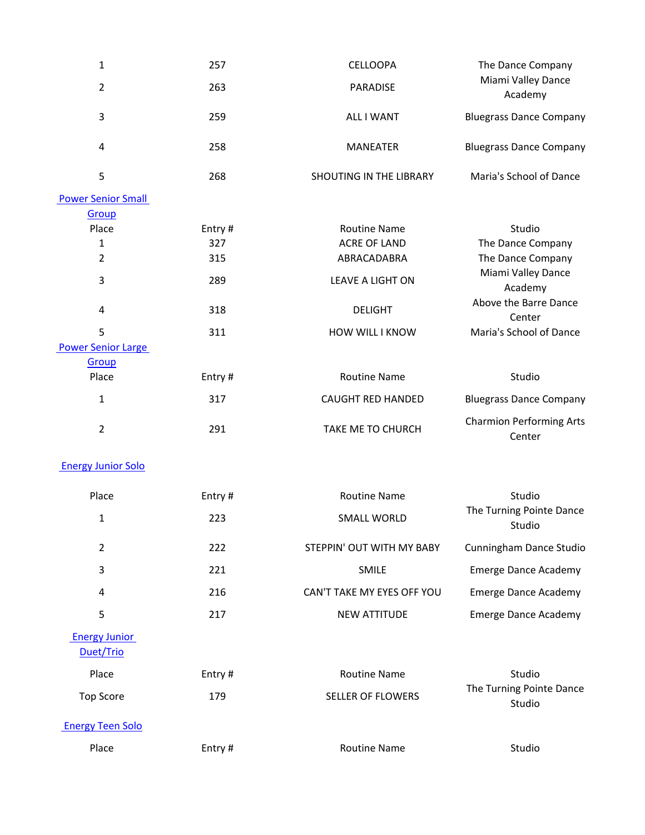| $\mathbf{1}$                      | 257    | <b>CELLOOPA</b>            | The Dance Company                         |
|-----------------------------------|--------|----------------------------|-------------------------------------------|
| $\overline{2}$                    | 263    | PARADISE                   | Miami Valley Dance<br>Academy             |
| 3                                 | 259    | <b>ALL I WANT</b>          | <b>Bluegrass Dance Company</b>            |
| 4                                 | 258    | <b>MANEATER</b>            | <b>Bluegrass Dance Company</b>            |
| 5                                 | 268    | SHOUTING IN THE LIBRARY    | Maria's School of Dance                   |
| <b>Power Senior Small</b>         |        |                            |                                           |
| Group                             |        |                            |                                           |
| Place                             | Entry# | <b>Routine Name</b>        | Studio                                    |
| 1                                 | 327    | <b>ACRE OF LAND</b>        | The Dance Company                         |
| $\overline{2}$                    | 315    | ABRACADABRA                | The Dance Company                         |
| 3                                 | 289    | LEAVE A LIGHT ON           | Miami Valley Dance<br>Academy             |
| $\overline{4}$                    | 318    | <b>DELIGHT</b>             | Above the Barre Dance<br>Center           |
| 5                                 | 311    | HOW WILL I KNOW            | Maria's School of Dance                   |
| <b>Power Senior Large</b>         |        |                            |                                           |
| Group                             |        |                            |                                           |
| Place                             | Entry# | <b>Routine Name</b>        | Studio                                    |
| $\mathbf 1$                       | 317    | CAUGHT RED HANDED          | <b>Bluegrass Dance Company</b>            |
| $\overline{2}$                    | 291    | TAKE ME TO CHURCH          | <b>Charmion Performing Arts</b><br>Center |
| <b>Energy Junior Solo</b>         |        |                            |                                           |
| Place                             | Entry# | <b>Routine Name</b>        | Studio                                    |
| $\mathbf{1}$                      | 223    | <b>SMALL WORLD</b>         | The Turning Pointe Dance<br>Studio        |
| $\overline{2}$                    | 222    | STEPPIN' OUT WITH MY BABY  | Cunningham Dance Studio                   |
| 3                                 | 221    | <b>SMILE</b>               | <b>Emerge Dance Academy</b>               |
| 4                                 | 216    | CAN'T TAKE MY EYES OFF YOU | <b>Emerge Dance Academy</b>               |
| 5                                 | 217    | <b>NEW ATTITUDE</b>        | <b>Emerge Dance Academy</b>               |
| <b>Energy Junior</b><br>Duet/Trio |        |                            |                                           |
| Place                             | Entry# | <b>Routine Name</b>        | Studio                                    |
| <b>Top Score</b>                  | 179    | <b>SELLER OF FLOWERS</b>   | The Turning Pointe Dance<br>Studio        |
| <b>Energy Teen Solo</b>           |        |                            |                                           |
| Place                             | Entry# | <b>Routine Name</b>        | Studio                                    |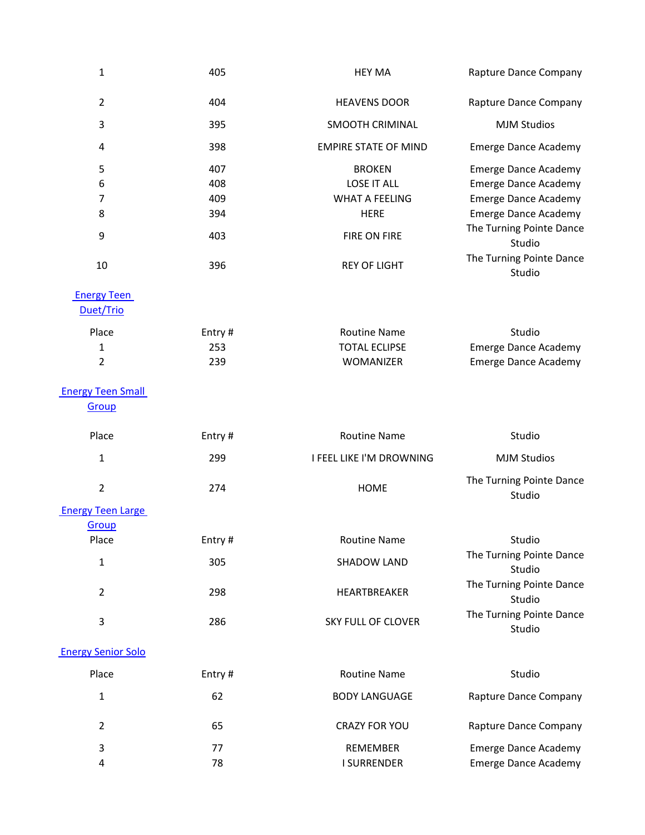| $\mathbf{1}$              | 405    | <b>HEY MA</b>               | Rapture Dance Company              |
|---------------------------|--------|-----------------------------|------------------------------------|
| $\overline{2}$            | 404    | <b>HEAVENS DOOR</b>         | Rapture Dance Company              |
| $\mathbf{3}$              | 395    | <b>SMOOTH CRIMINAL</b>      | <b>MJM Studios</b>                 |
| 4                         | 398    | <b>EMPIRE STATE OF MIND</b> | <b>Emerge Dance Academy</b>        |
| 5                         | 407    | <b>BROKEN</b>               | <b>Emerge Dance Academy</b>        |
| 6                         | 408    | <b>LOSE IT ALL</b>          | <b>Emerge Dance Academy</b>        |
| $\overline{7}$            | 409    | <b>WHAT A FEELING</b>       | <b>Emerge Dance Academy</b>        |
| 8                         | 394    | <b>HERE</b>                 | <b>Emerge Dance Academy</b>        |
| 9                         | 403    | <b>FIRE ON FIRE</b>         | The Turning Pointe Dance<br>Studio |
| 10                        | 396    | <b>REY OF LIGHT</b>         | The Turning Pointe Dance<br>Studio |
| <b>Energy Teen</b>        |        |                             |                                    |
| Duet/Trio                 |        |                             |                                    |
| Place                     | Entry# | <b>Routine Name</b>         | Studio                             |
| 1                         | 253    | <b>TOTAL ECLIPSE</b>        | <b>Emerge Dance Academy</b>        |
| $\overline{2}$            | 239    | WOMANIZER                   | <b>Emerge Dance Academy</b>        |
| <b>Energy Teen Small</b>  |        |                             |                                    |
| Group                     |        |                             |                                    |
| Place                     | Entry# | <b>Routine Name</b>         | Studio                             |
| 1                         | 299    | I FEEL LIKE I'M DROWNING    | <b>MJM Studios</b>                 |
| $\overline{2}$            | 274    | <b>HOME</b>                 | The Turning Pointe Dance<br>Studio |
| <b>Energy Teen Large</b>  |        |                             |                                    |
| Group                     |        |                             |                                    |
| Place                     | Entry# | <b>Routine Name</b>         | Studio                             |
| $\mathbf{1}$              | 305    | <b>SHADOW LAND</b>          | The Turning Pointe Dance<br>Studio |
| $\overline{2}$            | 298    | HEARTBREAKER                | The Turning Pointe Dance           |
|                           |        |                             | Studio                             |
| 3                         | 286    | SKY FULL OF CLOVER          | The Turning Pointe Dance<br>Studio |
| <b>Energy Senior Solo</b> |        |                             |                                    |
| Place                     | Entry# | <b>Routine Name</b>         | Studio                             |
| 1                         | 62     | <b>BODY LANGUAGE</b>        | Rapture Dance Company              |
| $\overline{2}$            | 65     | <b>CRAZY FOR YOU</b>        | Rapture Dance Company              |
| 3                         | 77     | REMEMBER                    | <b>Emerge Dance Academy</b>        |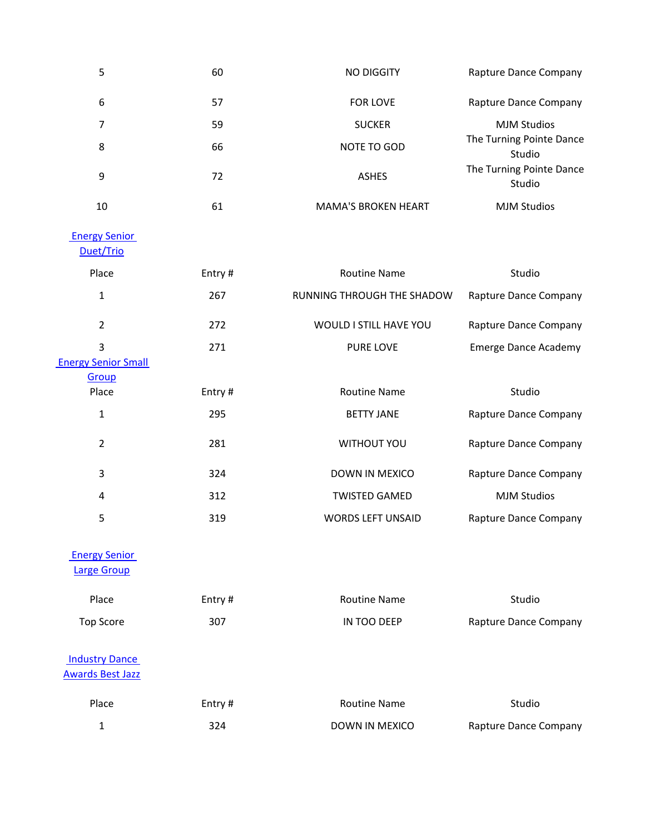| 5                                                | 60     | <b>NO DIGGITY</b>          | Rapture Dance Company              |
|--------------------------------------------------|--------|----------------------------|------------------------------------|
| 6                                                | 57     | FOR LOVE                   | Rapture Dance Company              |
| 7                                                | 59     | <b>SUCKER</b>              | <b>MJM Studios</b>                 |
| 8                                                | 66     | NOTE TO GOD                | The Turning Pointe Dance<br>Studio |
| $\boldsymbol{9}$                                 | 72     | <b>ASHES</b>               | The Turning Pointe Dance<br>Studio |
| 10                                               | 61     | <b>MAMA'S BROKEN HEART</b> | <b>MJM Studios</b>                 |
| <b>Energy Senior</b><br>Duet/Trio                |        |                            |                                    |
| Place                                            | Entry# | <b>Routine Name</b>        | Studio                             |
| $\mathbf{1}$                                     | 267    | RUNNING THROUGH THE SHADOW | Rapture Dance Company              |
| $\overline{2}$                                   | 272    | WOULD I STILL HAVE YOU     | Rapture Dance Company              |
| 3                                                | 271    | PURE LOVE                  | <b>Emerge Dance Academy</b>        |
| <b>Energy Senior Small</b>                       |        |                            |                                    |
| Group<br>Place                                   | Entry# | <b>Routine Name</b>        | Studio                             |
|                                                  |        |                            |                                    |
| $\mathbf 1$                                      | 295    | <b>BETTY JANE</b>          | Rapture Dance Company              |
| $\overline{2}$                                   | 281    | <b>WITHOUT YOU</b>         | Rapture Dance Company              |
| $\mathbf{3}$                                     | 324    | DOWN IN MEXICO             | Rapture Dance Company              |
| $\overline{4}$                                   | 312    | <b>TWISTED GAMED</b>       | <b>MJM Studios</b>                 |
| 5                                                | 319    | <b>WORDS LEFT UNSAID</b>   | Rapture Dance Company              |
| <b>Energy Senior</b><br><b>Large Group</b>       |        |                            |                                    |
| Place                                            | Entry# | <b>Routine Name</b>        | Studio                             |
| <b>Top Score</b>                                 | 307    | IN TOO DEEP                | Rapture Dance Company              |
| <b>Industry Dance</b><br><b>Awards Best Jazz</b> |        |                            |                                    |
| Place                                            | Entry# | <b>Routine Name</b>        | Studio                             |

1 324 324 DOWN IN MEXICO Rapture Dance Company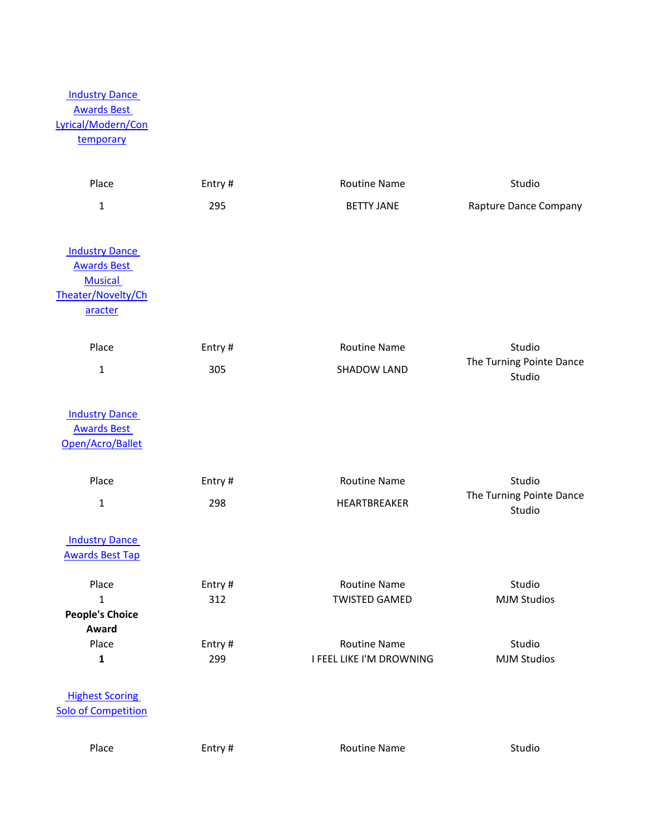# **Industry Dance** [Awards Best](/dsv2/admin/score_list.php?events_reportsID=89)  [Lyrical/Modern/Con](/dsv2/admin/score_list.php?events_reportsID=89) [temporary](/dsv2/admin/score_list.php?events_reportsID=89)

| Place                      | Entry# | <b>Routine Name</b>      | Studio                             |
|----------------------------|--------|--------------------------|------------------------------------|
| $\mathbf{1}$               | 295    | <b>BETTY JANE</b>        | Rapture Dance Company              |
| <b>Industry Dance</b>      |        |                          |                                    |
| <b>Awards Best</b>         |        |                          |                                    |
| <b>Musical</b>             |        |                          |                                    |
| Theater/Novelty/Ch         |        |                          |                                    |
| aracter                    |        |                          |                                    |
| Place                      | Entry# | <b>Routine Name</b>      | Studio                             |
| $\mathbf{1}$               | 305    | <b>SHADOW LAND</b>       | The Turning Pointe Dance           |
|                            |        |                          | Studio                             |
| <b>Industry Dance</b>      |        |                          |                                    |
| <b>Awards Best</b>         |        |                          |                                    |
| Open/Acro/Ballet           |        |                          |                                    |
| Place                      | Entry# | <b>Routine Name</b>      | Studio                             |
| $\mathbf 1$                | 298    | HEARTBREAKER             | The Turning Pointe Dance<br>Studio |
| <b>Industry Dance</b>      |        |                          |                                    |
| <b>Awards Best Tap</b>     |        |                          |                                    |
| Place                      | Entry# | <b>Routine Name</b>      | Studio                             |
| $\mathbf{1}$               | 312    | <b>TWISTED GAMED</b>     | <b>MJM Studios</b>                 |
| <b>People's Choice</b>     |        |                          |                                    |
| Award<br>Place             | Entry# | <b>Routine Name</b>      | Studio                             |
| $\mathbf{1}$               | 299    | I FEEL LIKE I'M DROWNING | <b>MJM Studios</b>                 |
|                            |        |                          |                                    |
| <b>Highest Scoring</b>     |        |                          |                                    |
| <b>Solo of Competition</b> |        |                          |                                    |
| Place                      | Entry# | <b>Routine Name</b>      | Studio                             |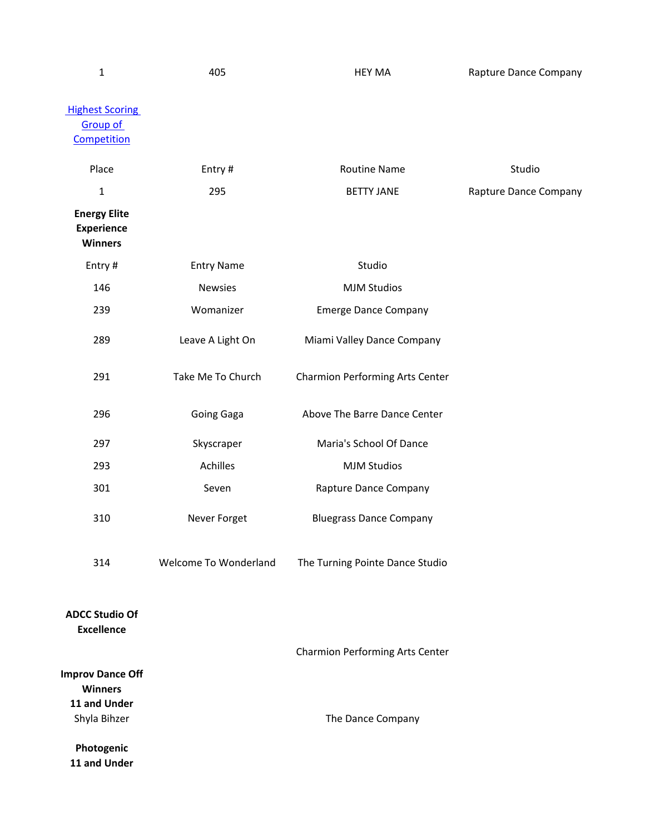| $\mathbf 1$                                                | 405                   | <b>HEY MA</b>                   | Rapture Dance Company |
|------------------------------------------------------------|-----------------------|---------------------------------|-----------------------|
| <b>Highest Scoring</b><br><b>Group of</b><br>Competition   |                       |                                 |                       |
| Place                                                      | Entry#                | <b>Routine Name</b>             | Studio                |
| $\mathbf 1$                                                | 295                   | <b>BETTY JANE</b>               | Rapture Dance Company |
| <b>Energy Elite</b><br><b>Experience</b><br><b>Winners</b> |                       |                                 |                       |
| Entry#                                                     | <b>Entry Name</b>     | Studio                          |                       |
| 146                                                        | <b>Newsies</b>        | <b>MJM Studios</b>              |                       |
| 239                                                        | Womanizer             | <b>Emerge Dance Company</b>     |                       |
| 289                                                        | Leave A Light On      | Miami Valley Dance Company      |                       |
| 291                                                        | Take Me To Church     | Charmion Performing Arts Center |                       |
| 296                                                        | Going Gaga            | Above The Barre Dance Center    |                       |
| 297                                                        | Skyscraper            | Maria's School Of Dance         |                       |
| 293                                                        | Achilles              | <b>MJM Studios</b>              |                       |
| 301                                                        | Seven                 | Rapture Dance Company           |                       |
| 310                                                        | Never Forget          | <b>Bluegrass Dance Company</b>  |                       |
| 314                                                        | Welcome To Wonderland | The Turning Pointe Dance Studio |                       |
| <b>ADCC Studio Of</b><br><b>Excellence</b>                 |                       |                                 |                       |
| <b>Improv Dance Off</b><br><b>Winners</b><br>11 and Under  |                       | Charmion Performing Arts Center |                       |
| Shyla Bihzer<br>Photogenic<br>11 and Under                 |                       | The Dance Company               |                       |